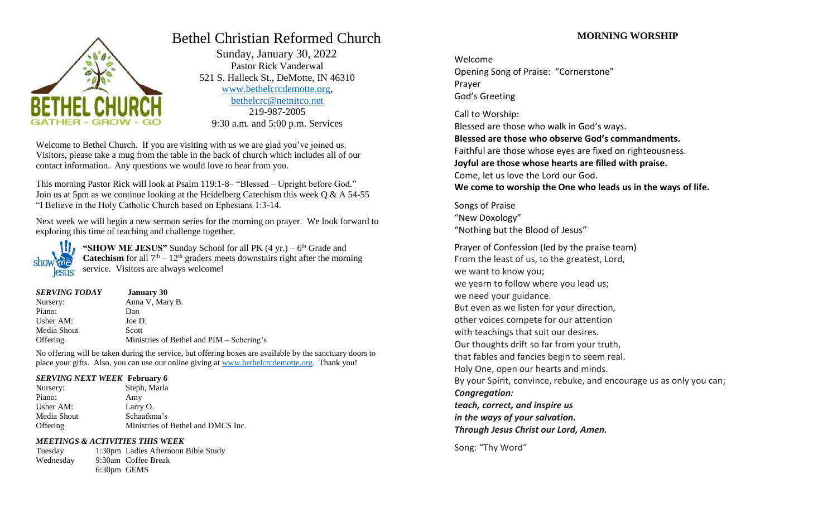

# Bethel Christian Reformed Church

 Sunday, January 30, 2022 Pastor Rick Vanderwal 521 S. Halleck St., DeMotte, IN 46310 [www.bethelcrcdemotte.org,](http://www.bethelcrcdemotte.org/) [bethelcrc@netnitco.net](mailto:bethelcrc@netnitco.net) 219-987-2005 9:30 a.m. and 5:00 p.m. Services

Welcome to Bethel Church. If you are visiting with us we are glad you've joined us. Visitors, please take a mug from the table in the back of church which includes all of our contact information. Any questions we would love to hear from you.

This morning Pastor Rick will look at Psalm 119:1-8– "Blessed – Upright before God." Join us at 5pm as we continue looking at the Heidelberg Catechism this week  $\overline{O} \& A$  54-55 "I Believe in the Holy Catholic Church based on Ephesians 1:3-14.

Next week we will begin a new sermon series for the morning on prayer. We look forward to exploring this time of teaching and challenge together.



"**SHOW ME JESUS**" Sunday School for all PK (4 yr.) – 6<sup>th</sup> Grade and **Catechism** for all  $7<sup>th</sup> - 12<sup>th</sup>$  graders meets downstairs right after the morning service. Visitors are always welcome!

| <b>SERVING TODAY</b> | <b>January 30</b>                         |
|----------------------|-------------------------------------------|
| Nursery:             | Anna V, Mary B.                           |
| Piano:               | Dan                                       |
| Usher AM:            | Joe D.                                    |
| Media Shout          | Scott                                     |
| Offering             | Ministries of Bethel and PIM – Schering's |

No offering will be taken during the service, but offering boxes are available by the sanctuary doors to place your gifts. Also, you can use our online giving at [www.bethelcrcdemotte.org.](http://www.bethelcrcdemotte.org/) Thank you!

## *SERVING NEXT WEEK* **February 6**

| Nursery:    | Steph, Marla                       |
|-------------|------------------------------------|
| Piano:      | Amy                                |
| Usher AM:   | Larry O.                           |
| Media Shout | Schaafsma's                        |
| Offering    | Ministries of Bethel and DMCS Inc. |

## *MEETINGS & ACTIVITIES THIS WEEK*

Tuesday 1:30pm Ladies Afternoon Bible Study Wednesday 9:30am Coffee Break 6:30pm GEMS

# **MORNING WORSHIP**

Welcome Opening Song of Praise: "Cornerstone" Prayer God's Greeting

Call to Worship: Blessed are those who walk in God's ways. **Blessed are those who observe God's commandments.** Faithful are those whose eyes are fixed on righteousness. **Joyful are those whose hearts are filled with praise.** Come, let us love the Lord our God. **We come to worship the One who leads us in the ways of life.**

Songs of Praise "New Doxology" "Nothing but the Blood of Jesus"

Prayer of Confession (led by the praise team) From the least of us, to the greatest, Lord, we want to know you; we yearn to follow where you lead us; we need your guidance. But even as we listen for your direction, other voices compete for our attention with teachings that suit our desires. Our thoughts drift so far from your truth, that fables and fancies begin to seem real. Holy One, open our hearts and minds. By your Spirit, convince, rebuke, and encourage us as only you can; *Congregation: teach, correct, and inspire us in the ways of your salvation. Through Jesus Christ our Lord, Amen.*

Song: "Thy Word"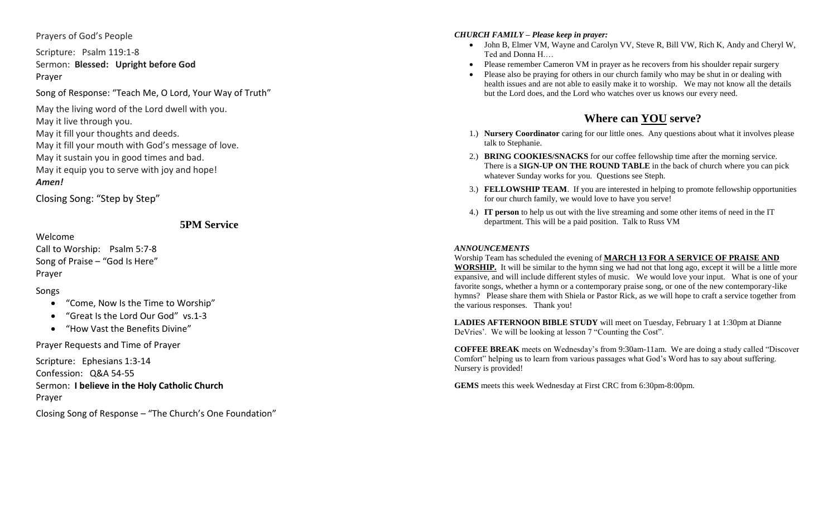## Prayers of God's People

Scripture: Psalm 119:1 - 8 Sermon: **Blessed: Upright before God** Prayer

Song of Response: "Teach Me , O Lord , Your Way of Truth"

May the living word of the Lord dwell with you. May it live through you. May it fill your thoughts and deeds. May it fill your mouth with God's message of love. May it sustain you in good times and bad. May it equip you to serve with joy and hope! *Amen!*

Closing Song: "Step by Step"

**5PM Service**

Call to Worship: Psalm 5:7 - 8 Song of Praise – "God Is Here" Prayer

Songs

Welcome

- $\bullet$ "Come, Now Is the Time to Worship"
- "Great Is the Lord Our God" vs.1-3
- $\bullet$ "How Vast the Benefits Divine"

Prayer Requests and Time of Prayer

Scripture: Ephesians 1:3 -14 Confession: Q&A 54 -55 Sermon: **I believe in the Holy Catholic Church** Prayer

Closing Song of Response – "The Church's One Foundation"

## *CHURCH FAMILY – Please keep in prayer:*

- John B, Elmer VM, Wayne and Carolyn VV, Steve R, Bill VW, Rich K, Andy and Cheryl W, Ted and Donna H.…
- Please remember Cameron VM in prayer as he recovers from his shoulder repair surgery
- Please also be praying for others in our church family who may be shut in or dealing with health issues and are not able to easily make it to worship. We may not know all the details but the Lord does, and the Lord who watches over us knows our every need.

# **Where can YOU serve ?**

- 1.) **Nursery Coordinator** caring for our little ones. Any questions about what it involves please talk to Stephanie.
- 2.) **BRING COOKIES/SNACKS** for our coffee fellowship time after the morning service. There is a **SIGN -UP ON THE ROUND TABLE** in the back of church where you can pick whatever Sunday works for you. Questions see Steph.
- 3.) **FELLOWSHIP TEAM**. If you are interested in helping to promote fellowship opportunities for our church family, we would love to have you serve!
- 4.) **IT person** to help us out with the live streaming and some other items of need in the IT department. This will be a paid position. Talk to Russ VM

## *ANNOUNCEMENTS*

Worship Team has scheduled the evening of **MARCH 13 FOR A SERVICE OF PRAISE AND WORSHIP.** It will be similar to the hymn sing we had not that long ago, except it will be a little more expansive, and will include different styles of music. We would love your input. What is one of your favorite songs, whether a hymn or a contemporary praise song, or one of the new contemporary-like hymns? Please share them with Shiela or Pastor Rick, as we will hope to craft a service together from the various responses. Thank you!

**LADIES AFTERNOON BIBLE STUDY** will meet on Tuesday, February 1 at 1:30pm at Dianne DeVries'. We will be looking at lesson 7 "Counting the Cost".

**COFFEE BREAK** meets on Wednesday's from 9:30am -11am. We are doing a study called "Discover Comfort" helping us to learn from various passages what God's Word has to say about suffering. Nursery is provided!

GEMS meets this week Wednesday at First CRC from 6:30pm-8:00pm.